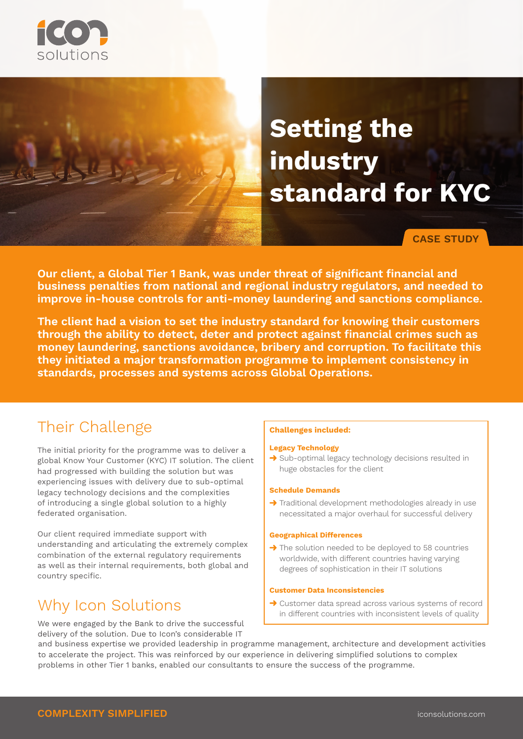

# **Setting the industry standard for KYC**

**CASE STUDY**

**Our client, a Global Tier 1 Bank, was under threat of significant financial and business penalties from national and regional industry regulators, and needed to improve in-house controls for anti-money laundering and sanctions compliance.**

**The client had a vision to set the industry standard for knowing their customers through the ability to detect, deter and protect against financial crimes such as money laundering, sanctions avoidance, bribery and corruption. To facilitate this they initiated a major transformation programme to implement consistency in standards, processes and systems across Global Operations.**

## Their Challenge

The initial priority for the programme was to deliver a global Know Your Customer (KYC) IT solution. The client had progressed with building the solution but was experiencing issues with delivery due to sub-optimal legacy technology decisions and the complexities of introducing a single global solution to a highly federated organisation.

Our client required immediate support with understanding and articulating the extremely complex combination of the external regulatory requirements as well as their internal requirements, both global and country specific.

# Why Icon Solutions

We were engaged by the Bank to drive the successful delivery of the solution. Due to Icon's considerable IT

### **Challenges included:**

#### **Legacy Technology**

 $\rightarrow$  Sub-optimal legacy technology decisions resulted in huge obstacles for the client

#### **Schedule Demands**

 $\rightarrow$  Traditional development methodologies already in use necessitated a major overhaul for successful delivery

#### **Geographical Differences**

 $\rightarrow$  The solution needed to be deployed to 58 countries worldwide, with different countries having varying degrees of sophistication in their IT solutions

#### **Customer Data Inconsistencies**

→ Customer data spread across various systems of record in different countries with inconsistent levels of quality

and business expertise we provided leadership in programme management, architecture and development activities to accelerate the project. This was reinforced by our experience in delivering simplified solutions to complex problems in other Tier 1 banks, enabled our consultants to ensure the success of the programme.